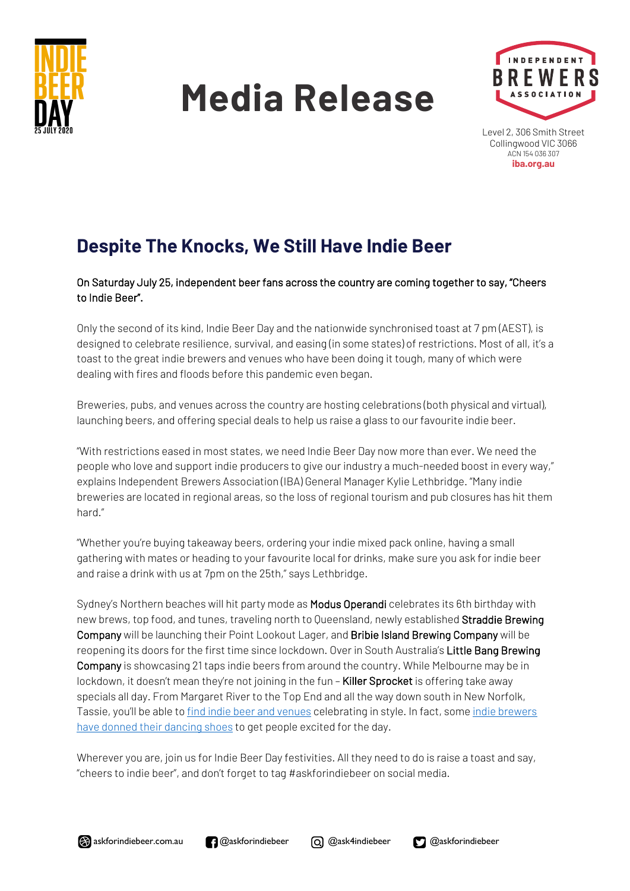

# **Media Release**



Level 2, 306 Smith Street Collingwood VIC 3066 ACN 154 036 307 **iba.org.au**

# **Despite The Knocks, We Still Have Indie Beer**

## On Saturday July 25, independent beer fans across the country are coming together to say, "Cheers to Indie Beer".

Only the second of its kind, Indie Beer Day and the nationwide synchronised toast at 7 pm (AEST), is designed to celebrate resilience, survival, and easing (in some states) of restrictions. Most of all, it's a toast to the great indie brewers and venues who have been doing it tough, many of which were dealing with fires and floods before this pandemic even began.

Breweries, pubs, and venues across the country are hosting celebrations (both physical and virtual), launching beers, and offering special deals to help us raise a glass to our favourite indie beer.

"With restrictions eased in most states, we need Indie Beer Day now more than ever. We need the people who love and support indie producers to give our industry a much-needed boost in every way," explains Independent Brewers Association (IBA) General Manager Kylie Lethbridge. "Many indie breweries are located in regional areas, so the loss of regional tourism and pub closures has hit them hard."

"Whether you're buying takeaway beers, ordering your indie mixed pack online, having a small gathering with mates or heading to your favourite local for drinks, make sure you ask for indie beer and raise a drink with us at 7pm on the 25th," says Lethbridge.

Sydney's Northern beaches will hit party mode as Modus Operandi celebrates its 6th birthday with new brews, top food, and tunes, traveling north to Queensland, newly established Straddie Brewing Company will be launching their Point Lookout Lager, and Bribie Island Brewing Company will be reopening its doors for the first time since lockdown. Over in South Australia's Little Bang Brewing Company is showcasing 21 taps indie beers from around the country. While Melbourne may be in lockdown, it doesn't mean they're not joining in the fun - Killer Sprocket is offering take away specials all day. From Margaret River to the Top End and all the way down south in New Norfolk, Tassie, you'll be able to find indie beer and venues celebrating in style. In fact, some indie brewers have donned their dancing shoes to get people excited for the day.

Wherever you are, join us for Indie Beer Day festivities. All they need to do is raise a toast and say, "cheers to indie beer", and don't forget to tag #askforindiebeer on social media.